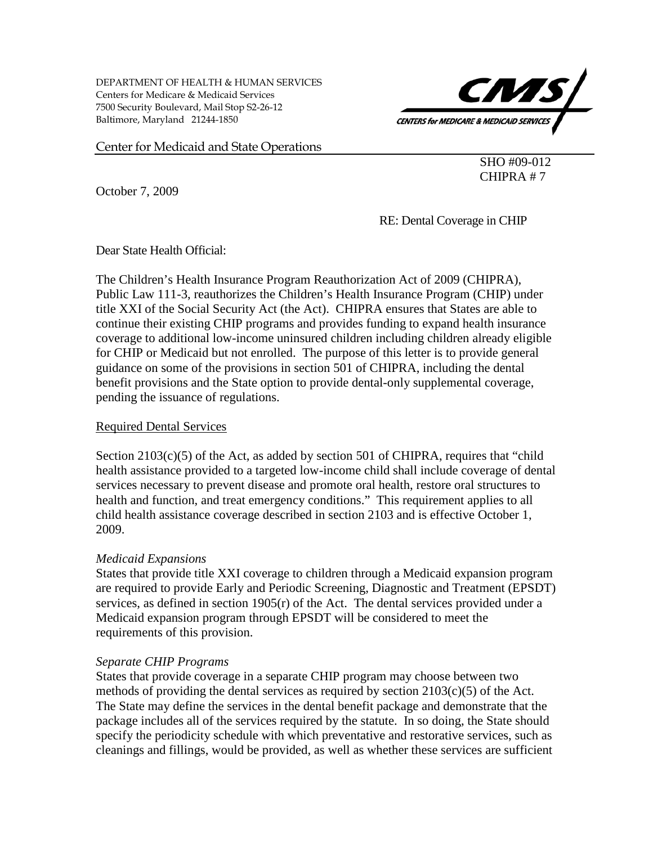DEPARTMENT OF HEALTH & HUMAN SERVICES Centers for Medicare & Medicaid Services 7500 Security Boulevard, Mail Stop S2-26-12 Baltimore, Maryland 21244-1850



Center for Medicaid and State Operations

SHO #09-012 CHIPRA # 7

October 7, 2009

RE: Dental Coverage in CHIP

Dear State Health Official:

The Children's Health Insurance Program Reauthorization Act of 2009 (CHIPRA), Public Law 111-3, reauthorizes the Children's Health Insurance Program (CHIP) under title XXI of the Social Security Act (the Act). CHIPRA ensures that States are able to continue their existing CHIP programs and provides funding to expand health insurance coverage to additional low-income uninsured children including children already eligible for CHIP or Medicaid but not enrolled. The purpose of this letter is to provide general guidance on some of the provisions in section 501 of CHIPRA, including the dental benefit provisions and the State option to provide dental-only supplemental coverage, pending the issuance of regulations.

### Required Dental Services

Section  $2103(c)(5)$  of the Act, as added by section 501 of CHIPRA, requires that "child" health assistance provided to a targeted low-income child shall include coverage of dental services necessary to prevent disease and promote oral health, restore oral structures to health and function, and treat emergency conditions." This requirement applies to all child health assistance coverage described in section 2103 and is effective October 1, 2009.

# *Medicaid Expansions*

States that provide title XXI coverage to children through a Medicaid expansion program are required to provide Early and Periodic Screening, Diagnostic and Treatment (EPSDT) services, as defined in section 1905(r) of the Act. The dental services provided under a Medicaid expansion program through EPSDT will be considered to meet the requirements of this provision.

# *Separate CHIP Programs*

States that provide coverage in a separate CHIP program may choose between two methods of providing the dental services as required by section 2103(c)(5) of the Act. The State may define the services in the dental benefit package and demonstrate that the package includes all of the services required by the statute. In so doing, the State should specify the periodicity schedule with which preventative and restorative services, such as cleanings and fillings, would be provided, as well as whether these services are sufficient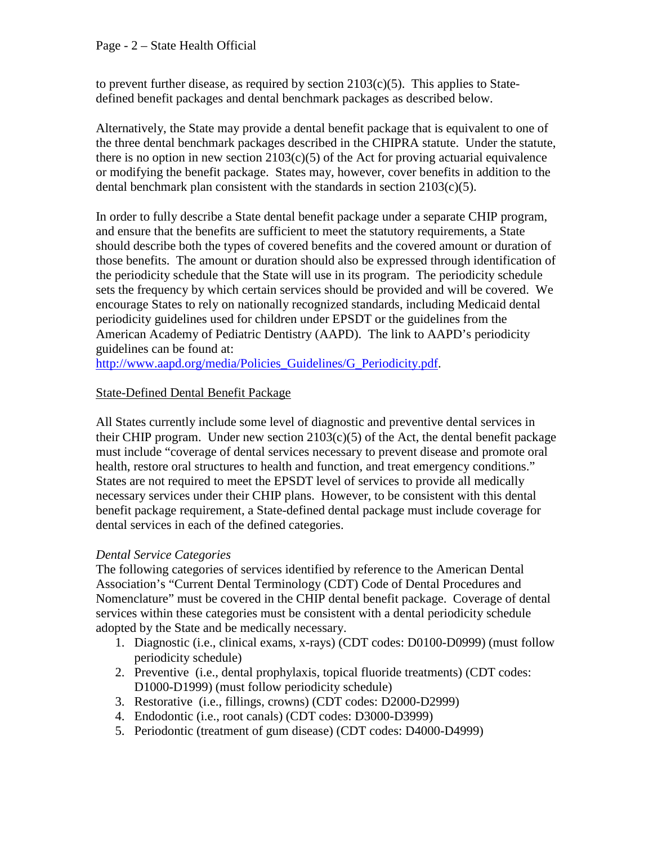to prevent further disease, as required by section  $2103(c)(5)$ . This applies to Statedefined benefit packages and dental benchmark packages as described below.

Alternatively, the State may provide a dental benefit package that is equivalent to one of the three dental benchmark packages described in the CHIPRA statute. Under the statute, there is no option in new section  $2103(c)(5)$  of the Act for proving actuarial equivalence or modifying the benefit package. States may, however, cover benefits in addition to the dental benchmark plan consistent with the standards in section 2103(c)(5).

In order to fully describe a State dental benefit package under a separate CHIP program, and ensure that the benefits are sufficient to meet the statutory requirements, a State should describe both the types of covered benefits and the covered amount or duration of those benefits. The amount or duration should also be expressed through identification of the periodicity schedule that the State will use in its program. The periodicity schedule sets the frequency by which certain services should be provided and will be covered. We encourage States to rely on nationally recognized standards, including Medicaid dental periodicity guidelines used for children under EPSDT or the guidelines from the American Academy of Pediatric Dentistry (AAPD). The link to AAPD's periodicity guidelines can be found at:

[http://www.aapd.org/media/Policies\\_Guidelines/G\\_Periodicity.pdf.](http://www.aapd.org/media/Policies_Guidelines/G_Periodicity.pdf)

# State-Defined Dental Benefit Package

All States currently include some level of diagnostic and preventive dental services in their CHIP program. Under new section  $2103(c)(5)$  of the Act, the dental benefit package must include "coverage of dental services necessary to prevent disease and promote oral health, restore oral structures to health and function, and treat emergency conditions." States are not required to meet the EPSDT level of services to provide all medically necessary services under their CHIP plans. However, to be consistent with this dental benefit package requirement, a State-defined dental package must include coverage for dental services in each of the defined categories.

# *Dental Service Categories*

The following categories of services identified by reference to the American Dental Association's "Current Dental Terminology (CDT) Code of Dental Procedures and Nomenclature" must be covered in the CHIP dental benefit package. Coverage of dental services within these categories must be consistent with a dental periodicity schedule adopted by the State and be medically necessary.

- 1. Diagnostic (i.e., clinical exams, x-rays) (CDT codes: D0100-D0999) (must follow periodicity schedule)
- 2. Preventive (i.e., dental prophylaxis, topical fluoride treatments) (CDT codes: D1000-D1999) (must follow periodicity schedule)
- 3. Restorative (i.e., fillings, crowns) (CDT codes: D2000-D2999)
- 4. Endodontic (i.e., root canals) (CDT codes: D3000-D3999)
- 5. Periodontic (treatment of gum disease) (CDT codes: D4000-D4999)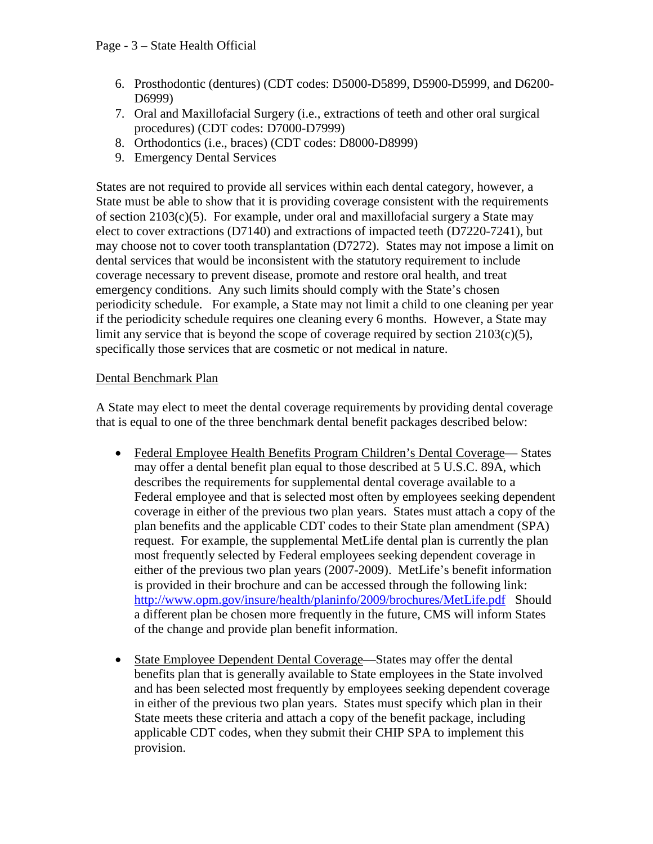- 6. Prosthodontic (dentures) (CDT codes: D5000-D5899, D5900-D5999, and D6200- D6999)
- 7. Oral and Maxillofacial Surgery (i.e., extractions of teeth and other oral surgical procedures) (CDT codes: D7000-D7999)
- 8. Orthodontics (i.e., braces) (CDT codes: D8000-D8999)
- 9. Emergency Dental Services

States are not required to provide all services within each dental category, however, a State must be able to show that it is providing coverage consistent with the requirements of section  $2103(c)(5)$ . For example, under oral and maxillofacial surgery a State may elect to cover extractions (D7140) and extractions of impacted teeth (D7220-7241), but may choose not to cover tooth transplantation (D7272). States may not impose a limit on dental services that would be inconsistent with the statutory requirement to include coverage necessary to prevent disease, promote and restore oral health, and treat emergency conditions. Any such limits should comply with the State's chosen periodicity schedule. For example, a State may not limit a child to one cleaning per year if the periodicity schedule requires one cleaning every 6 months. However, a State may limit any service that is beyond the scope of coverage required by section 2103(c)(5), specifically those services that are cosmetic or not medical in nature.

# Dental Benchmark Plan

A State may elect to meet the dental coverage requirements by providing dental coverage that is equal to one of the three benchmark dental benefit packages described below:

- Federal Employee Health Benefits Program Children's Dental Coverage— States may offer a dental benefit plan equal to those described at 5 U.S.C. 89A, which describes the requirements for supplemental dental coverage available to a Federal employee and that is selected most often by employees seeking dependent coverage in either of the previous two plan years. States must attach a copy of the plan benefits and the applicable CDT codes to their State plan amendment (SPA) request. For example, the supplemental MetLife dental plan is currently the plan most frequently selected by Federal employees seeking dependent coverage in either of the previous two plan years (2007-2009). MetLife's benefit information is provided in their brochure and can be accessed through the following link: <http://www.opm.gov/insure/health/planinfo/2009/brochures/MetLife.pdf>Should a different plan be chosen more frequently in the future, CMS will inform States of the change and provide plan benefit information.
- State Employee Dependent Dental Coverage—States may offer the dental benefits plan that is generally available to State employees in the State involved and has been selected most frequently by employees seeking dependent coverage in either of the previous two plan years. States must specify which plan in their State meets these criteria and attach a copy of the benefit package, including applicable CDT codes, when they submit their CHIP SPA to implement this provision.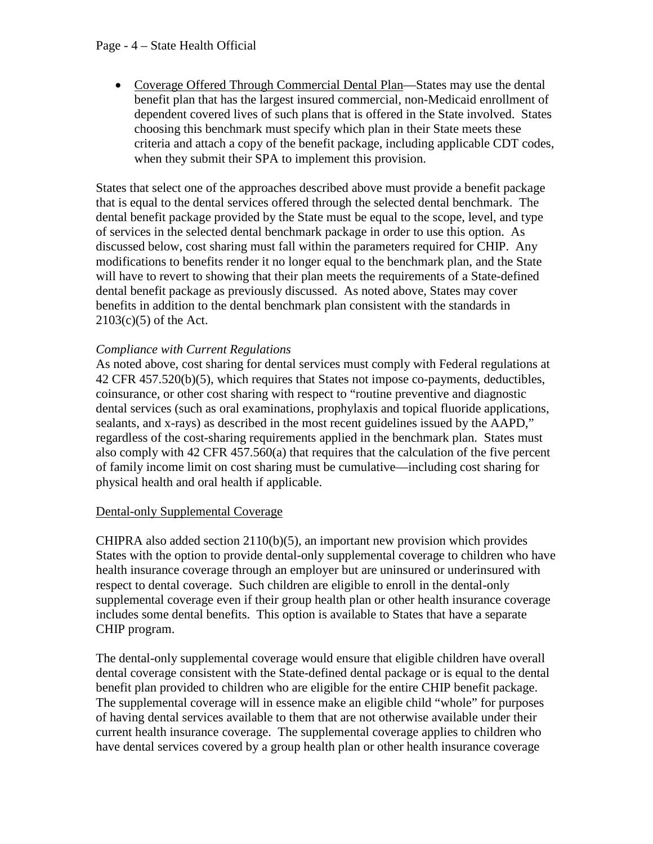### Page - 4 – State Health Official

• Coverage Offered Through Commercial Dental Plan—States may use the dental benefit plan that has the largest insured commercial, non-Medicaid enrollment of dependent covered lives of such plans that is offered in the State involved. States choosing this benchmark must specify which plan in their State meets these criteria and attach a copy of the benefit package, including applicable CDT codes, when they submit their SPA to implement this provision.

States that select one of the approaches described above must provide a benefit package that is equal to the dental services offered through the selected dental benchmark. The dental benefit package provided by the State must be equal to the scope, level, and type of services in the selected dental benchmark package in order to use this option. As discussed below, cost sharing must fall within the parameters required for CHIP. Any modifications to benefits render it no longer equal to the benchmark plan, and the State will have to revert to showing that their plan meets the requirements of a State-defined dental benefit package as previously discussed. As noted above, States may cover benefits in addition to the dental benchmark plan consistent with the standards in 2103(c)(5) of the Act.

# *Compliance with Current Regulations*

As noted above, cost sharing for dental services must comply with Federal regulations at 42 CFR 457.520(b)(5), which requires that States not impose co-payments, deductibles, coinsurance, or other cost sharing with respect to "routine preventive and diagnostic dental services (such as oral examinations, prophylaxis and topical fluoride applications, sealants, and x-rays) as described in the most recent guidelines issued by the AAPD," regardless of the cost-sharing requirements applied in the benchmark plan. States must also comply with 42 CFR 457.560(a) that requires that the calculation of the five percent of family income limit on cost sharing must be cumulative—including cost sharing for physical health and oral health if applicable.

# Dental-only Supplemental Coverage

CHIPRA also added section  $2110(b)(5)$ , an important new provision which provides States with the option to provide dental-only supplemental coverage to children who have health insurance coverage through an employer but are uninsured or underinsured with respect to dental coverage. Such children are eligible to enroll in the dental-only supplemental coverage even if their group health plan or other health insurance coverage includes some dental benefits. This option is available to States that have a separate CHIP program.

The dental-only supplemental coverage would ensure that eligible children have overall dental coverage consistent with the State-defined dental package or is equal to the dental benefit plan provided to children who are eligible for the entire CHIP benefit package. The supplemental coverage will in essence make an eligible child "whole" for purposes of having dental services available to them that are not otherwise available under their current health insurance coverage. The supplemental coverage applies to children who have dental services covered by a group health plan or other health insurance coverage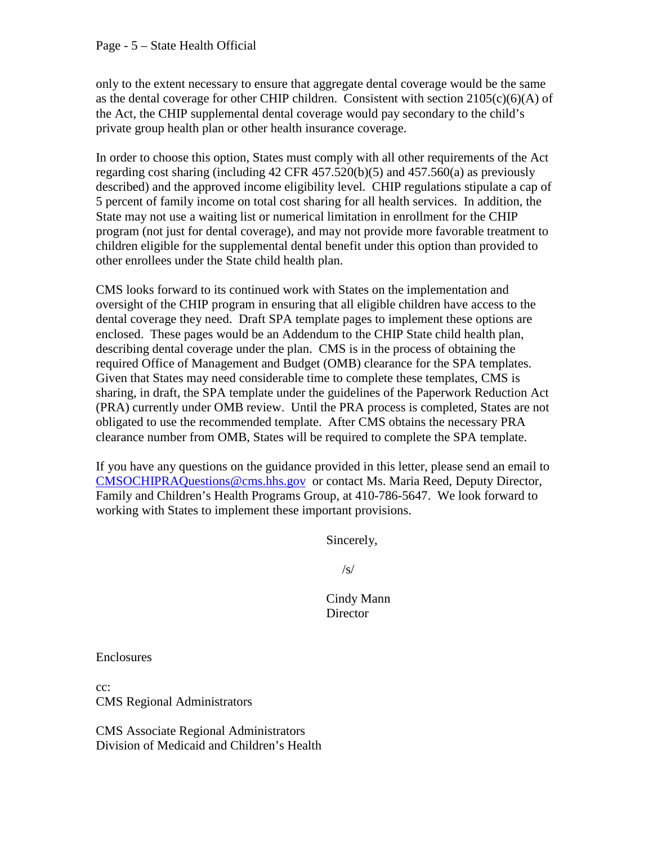#### Page - 5 – State Health Official

only to the extent necessary to ensure that aggregate dental coverage would be the same as the dental coverage for other CHIP children. Consistent with section  $2105(c)(6)(A)$  of the Act, the CHIP supplemental dental coverage would pay secondary to the child's private group health plan or other health insurance coverage.

In order to choose this option, States must comply with all other requirements of the Act regarding cost sharing (including  $42$  CFR  $457.520(b)(5)$  and  $457.560(a)$  as previously described) and the approved income eligibility level. CHIP regulations stipulate a cap of 5 percent of family income on total cost sharing for all health services. In addition, the State may not use a waiting list or numerical limitation in enrollment for the CHIP program (not just for dental coverage), and may not provide more favorable treatment to children eligible for the supplemental dental benefit under this option than provided to other enrollees under the State child health plan.

CMS looks forward to its continued work with States on the implementation and oversight of the CHIP program in ensuring that all eligible children have access to the dental coverage they need. Draft SPA template pages to implement these options are enclosed. These pages would be an Addendum to the CHIP State child health plan, describing dental coverage under the plan. CMS is in the process of obtaining the required Office of Management and Budget (OMB) clearance for the SPA templates. Given that States may need considerable time to complete these templates, CMS is sharing, in draft, the SPA template under the guidelines of the Paperwork Reduction Act (PRA) currently under OMB review. Until the PRA process is completed, States are not obligated to use the recommended template. After CMS obtains the necessary PRA clearance number from OMB, States will be required to complete the SPA template.

If you have any questions on the guidance provided in this letter, please send an email to [CMSOCHIPRAQuestions@cms.hhs.gov](mailto:CMSOCHIPRAQuestions@cms.hhs.gov) or contact Ms. Maria Reed, Deputy Director, Family and Children's Health Programs Group, at 410-786-5647. We look forward to working with States to implement these important provisions.

Sincerely,

/s/

 Cindy Mann **Director** 

Enclosures

cc: CMS Regional Administrators

CMS Associate Regional Administrators Division of Medicaid and Children's Health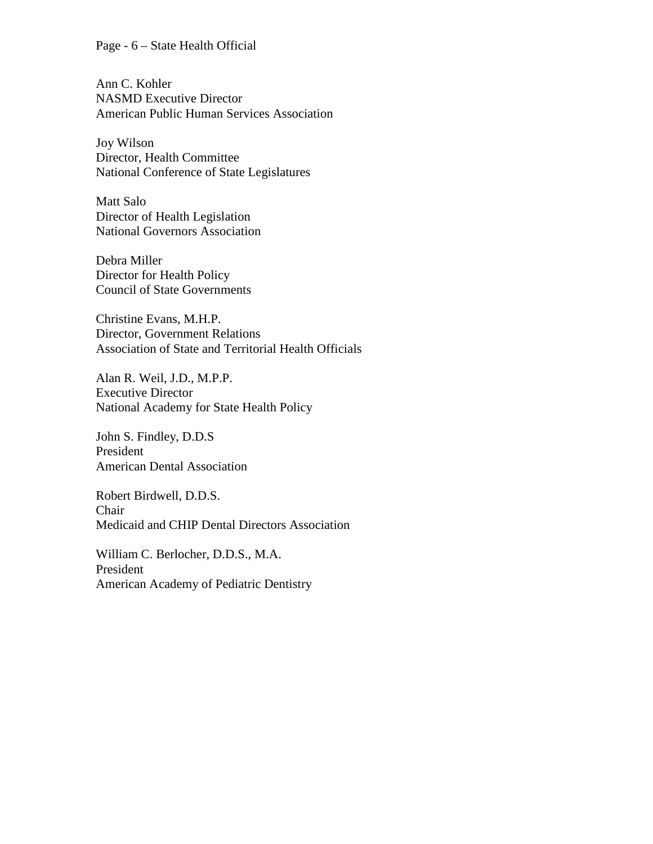#### Page - 6 – State Health Official

Ann C. Kohler NASMD Executive Director American Public Human Services Association

Joy Wilson Director, Health Committee National Conference of State Legislatures

Matt Salo Director of Health Legislation National Governors Association

Debra Miller Director for Health Policy Council of State Governments

Christine Evans, M.H.P. Director, Government Relations Association of State and Territorial Health Officials

Alan R. Weil, J.D., M.P.P. Executive Director National Academy for State Health Policy

John S. Findley, D.D.S President American Dental Association

Robert Birdwell, D.D.S. Chair Medicaid and CHIP Dental Directors Association

William C. Berlocher, D.D.S., M.A. President American Academy of Pediatric Dentistry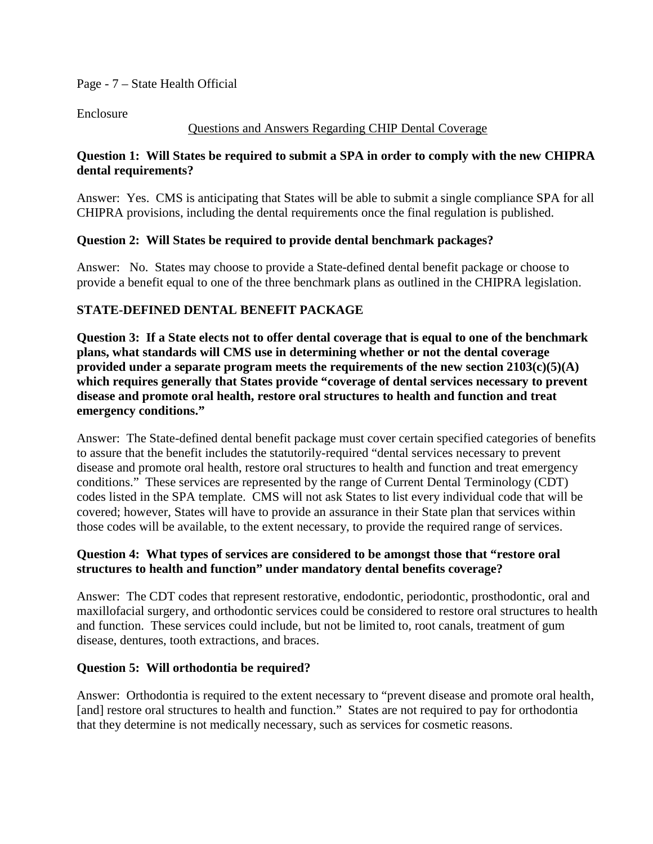Page - 7 – State Health Official

Enclosure

# Questions and Answers Regarding CHIP Dental Coverage

# **Question 1: Will States be required to submit a SPA in order to comply with the new CHIPRA dental requirements?**

Answer: Yes. CMS is anticipating that States will be able to submit a single compliance SPA for all CHIPRA provisions, including the dental requirements once the final regulation is published.

# **Question 2: Will States be required to provide dental benchmark packages?**

Answer: No. States may choose to provide a State-defined dental benefit package or choose to provide a benefit equal to one of the three benchmark plans as outlined in the CHIPRA legislation.

# **STATE-DEFINED DENTAL BENEFIT PACKAGE**

**Question 3: If a State elects not to offer dental coverage that is equal to one of the benchmark plans, what standards will CMS use in determining whether or not the dental coverage provided under a separate program meets the requirements of the new section 2103(c)(5)(A) which requires generally that States provide "coverage of dental services necessary to prevent disease and promote oral health, restore oral structures to health and function and treat emergency conditions."** 

Answer: The State-defined dental benefit package must cover certain specified categories of benefits to assure that the benefit includes the statutorily-required "dental services necessary to prevent disease and promote oral health, restore oral structures to health and function and treat emergency conditions." These services are represented by the range of Current Dental Terminology (CDT) codes listed in the SPA template. CMS will not ask States to list every individual code that will be covered; however, States will have to provide an assurance in their State plan that services within those codes will be available, to the extent necessary, to provide the required range of services.

# **Question 4: What types of services are considered to be amongst those that "restore oral structures to health and function" under mandatory dental benefits coverage?**

Answer: The CDT codes that represent restorative, endodontic, periodontic, prosthodontic, oral and maxillofacial surgery, and orthodontic services could be considered to restore oral structures to health and function. These services could include, but not be limited to, root canals, treatment of gum disease, dentures, tooth extractions, and braces.

# **Question 5: Will orthodontia be required?**

Answer: Orthodontia is required to the extent necessary to "prevent disease and promote oral health, [and] restore oral structures to health and function." States are not required to pay for orthodontia that they determine is not medically necessary, such as services for cosmetic reasons.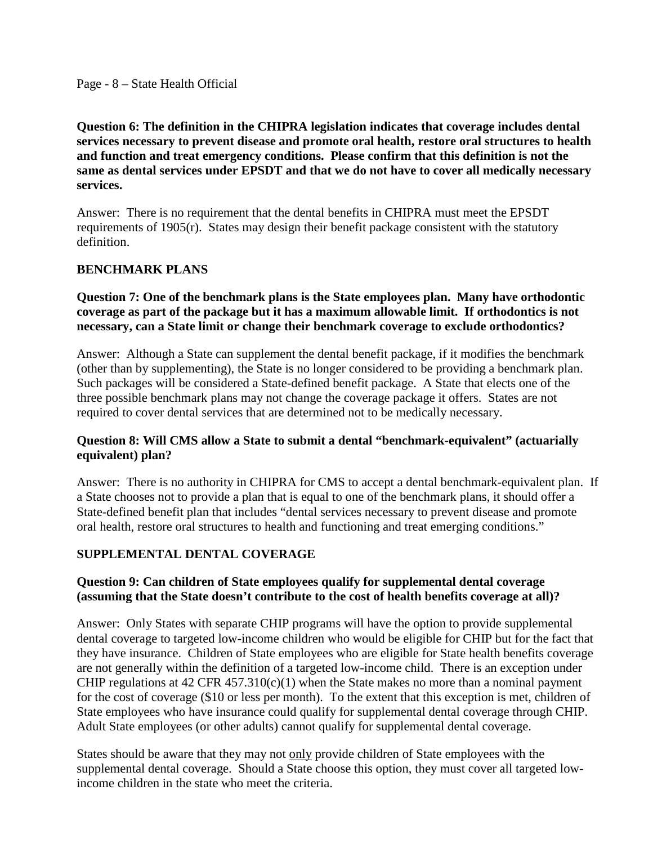**Question 6: The definition in the CHIPRA legislation indicates that coverage includes dental services necessary to prevent disease and promote oral health, restore oral structures to health and function and treat emergency conditions. Please confirm that this definition is not the same as dental services under EPSDT and that we do not have to cover all medically necessary services.** 

Answer: There is no requirement that the dental benefits in CHIPRA must meet the EPSDT requirements of 1905(r). States may design their benefit package consistent with the statutory definition.

# **BENCHMARK PLANS**

### **Question 7: One of the benchmark plans is the State employees plan. Many have orthodontic coverage as part of the package but it has a maximum allowable limit. If orthodontics is not necessary, can a State limit or change their benchmark coverage to exclude orthodontics?**

Answer: Although a State can supplement the dental benefit package, if it modifies the benchmark (other than by supplementing), the State is no longer considered to be providing a benchmark plan. Such packages will be considered a State-defined benefit package. A State that elects one of the three possible benchmark plans may not change the coverage package it offers. States are not required to cover dental services that are determined not to be medically necessary.

# **Question 8: Will CMS allow a State to submit a dental "benchmark-equivalent" (actuarially equivalent) plan?**

Answer: There is no authority in CHIPRA for CMS to accept a dental benchmark-equivalent plan. If a State chooses not to provide a plan that is equal to one of the benchmark plans, it should offer a State-defined benefit plan that includes "dental services necessary to prevent disease and promote oral health, restore oral structures to health and functioning and treat emerging conditions."

# **SUPPLEMENTAL DENTAL COVERAGE**

# **Question 9: Can children of State employees qualify for supplemental dental coverage (assuming that the State doesn't contribute to the cost of health benefits coverage at all)?**

Answer: Only States with separate CHIP programs will have the option to provide supplemental dental coverage to targeted low-income children who would be eligible for CHIP but for the fact that they have insurance. Children of State employees who are eligible for State health benefits coverage are not generally within the definition of a targeted low-income child. There is an exception under CHIP regulations at  $42$  CFR  $457.310(c)(1)$  when the State makes no more than a nominal payment for the cost of coverage (\$10 or less per month). To the extent that this exception is met, children of State employees who have insurance could qualify for supplemental dental coverage through CHIP. Adult State employees (or other adults) cannot qualify for supplemental dental coverage.

States should be aware that they may not only provide children of State employees with the supplemental dental coverage. Should a State choose this option, they must cover all targeted lowincome children in the state who meet the criteria.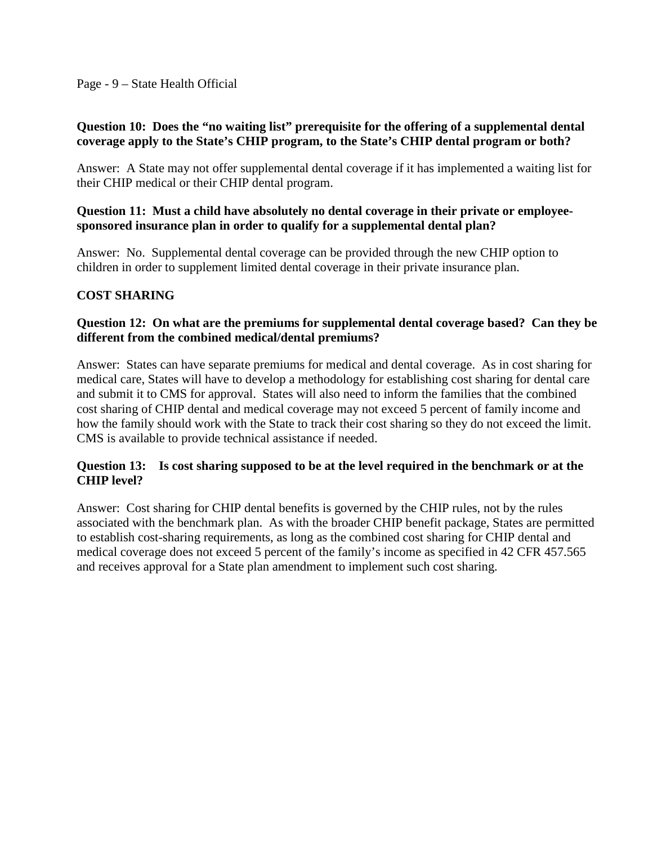#### Page - 9 – State Health Official

#### **Question 10: Does the "no waiting list" prerequisite for the offering of a supplemental dental coverage apply to the State's CHIP program, to the State's CHIP dental program or both?**

Answer: A State may not offer supplemental dental coverage if it has implemented a waiting list for their CHIP medical or their CHIP dental program.

### **Question 11: Must a child have absolutely no dental coverage in their private or employeesponsored insurance plan in order to qualify for a supplemental dental plan?**

Answer: No. Supplemental dental coverage can be provided through the new CHIP option to children in order to supplement limited dental coverage in their private insurance plan.

# **COST SHARING**

### **Question 12: On what are the premiums for supplemental dental coverage based? Can they be different from the combined medical/dental premiums?**

Answer: States can have separate premiums for medical and dental coverage. As in cost sharing for medical care, States will have to develop a methodology for establishing cost sharing for dental care and submit it to CMS for approval. States will also need to inform the families that the combined cost sharing of CHIP dental and medical coverage may not exceed 5 percent of family income and how the family should work with the State to track their cost sharing so they do not exceed the limit. CMS is available to provide technical assistance if needed.

#### **Question 13: Is cost sharing supposed to be at the level required in the benchmark or at the CHIP level?**

Answer: Cost sharing for CHIP dental benefits is governed by the CHIP rules, not by the rules associated with the benchmark plan. As with the broader CHIP benefit package, States are permitted to establish cost-sharing requirements, as long as the combined cost sharing for CHIP dental and medical coverage does not exceed 5 percent of the family's income as specified in 42 CFR 457.565 and receives approval for a State plan amendment to implement such cost sharing.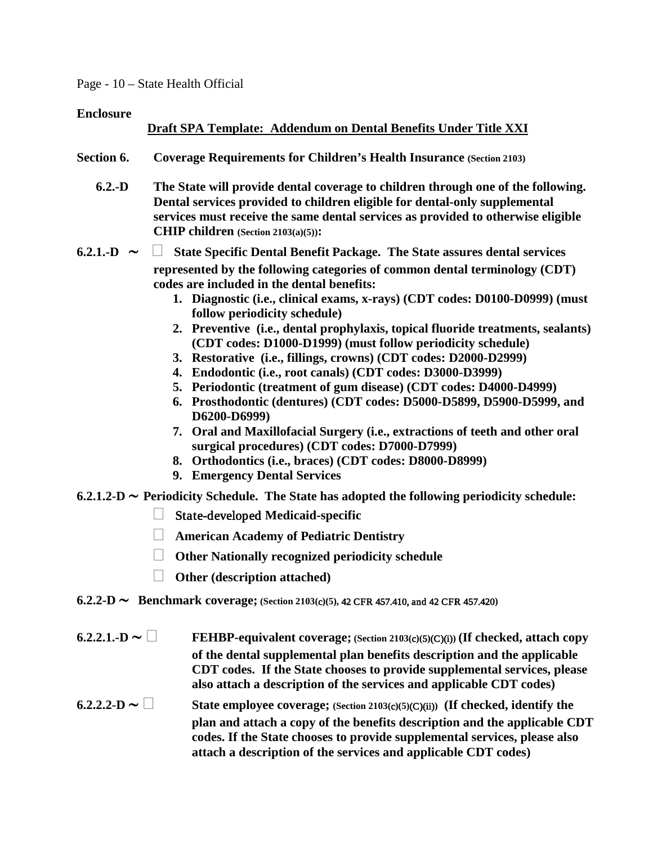#### Page - 10 – State Health Official

#### **Enclosure**

# **Draft SPA Template: Addendum on Dental Benefits Under Title XXI**

- **Section 6. Coverage Requirements for Children's Health Insurance (Section 2103)**
	- **6.2.-D The State will provide dental coverage to children through one of the following. Dental services provided to children eligible for dental-only supplemental services must receive the same dental services as provided to otherwise eligible CHIP children (Section 2103(a)(5)):**
- **6.2.1.-D** ∼  **State Specific Dental Benefit Package. The State assures dental services represented by the following categories of common dental terminology (CDT) codes are included in the dental benefits:**
	- **1. Diagnostic (i.e., clinical exams, x-rays) (CDT codes: D0100-D0999) (must follow periodicity schedule)**
	- **2. Preventive (i.e., dental prophylaxis, topical fluoride treatments, sealants) (CDT codes: D1000-D1999) (must follow periodicity schedule)**
	- **3. Restorative (i.e., fillings, crowns) (CDT codes: D2000-D2999)**
	- **4. Endodontic (i.e., root canals) (CDT codes: D3000-D3999)**
	- **5. Periodontic (treatment of gum disease) (CDT codes: D4000-D4999)**
	- **6. Prosthodontic (dentures) (CDT codes: D5000-D5899, D5900-D5999, and D6200-D6999)**
	- **7. Oral and Maxillofacial Surgery (i.e., extractions of teeth and other oral surgical procedures) (CDT codes: D7000-D7999)**
	- **8. Orthodontics (i.e., braces) (CDT codes: D8000-D8999)**
	- **9. Emergency Dental Services**
- **6.2.1.2-D** ∼ **Periodicity Schedule. The State has adopted the following periodicity schedule:** 
	- State-developed **Medicaid-specific**
	- **American Academy of Pediatric Dentistry**
	- **Other Nationally recognized periodicity schedule**
	- **Other (description attached)**
- **6.2.2-D** ∼ **Benchmark coverage; (Section 2103(**c**)(5),** 42 CFR 457.410, and 42 CFR 457.420**)**
- **6.2.2.1.-D** ∼ **FEHBP-equivalent coverage; (Section 2103(**c**)(**5**)**(C)(i)**) (If checked, attach copy of the dental supplemental plan benefits description and the applicable CDT codes. If the State chooses to provide supplemental services, please also attach a description of the services and applicable CDT codes) 6.2.2.2-D** ∼ **State employee coverage; (Section 2103(**c**)(5)**(C)(ii)**) (If checked, identify the plan and attach a copy of the benefits description and the applicable CDT**

**codes. If the State chooses to provide supplemental services, please also** 

**attach a description of the services and applicable CDT codes)**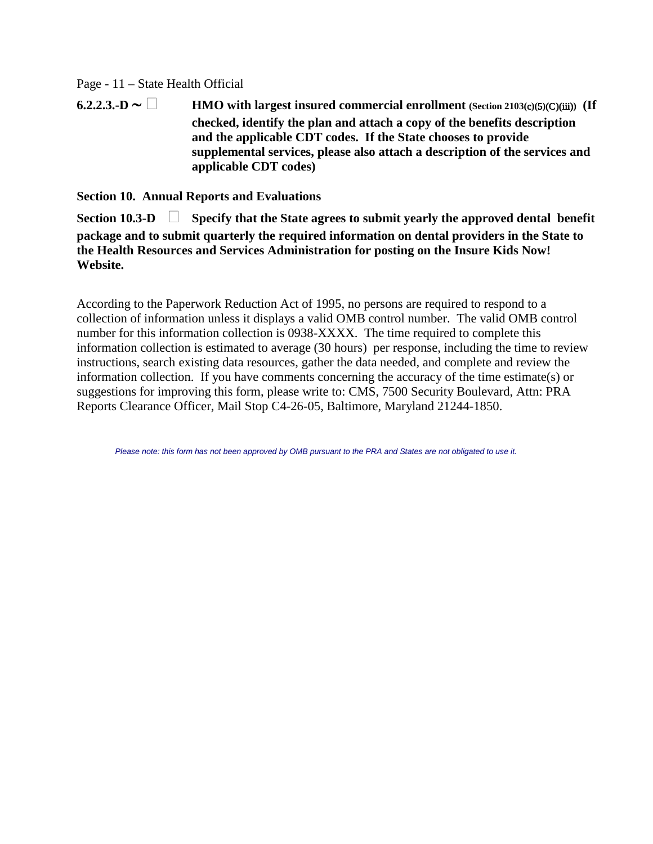#### Page - 11 – State Health Official

**6.2.2.3.-D** ∼ **HMO with largest insured commercial enrollment (Section 2103(**c**)(**5**)**(C)(iii)**) (If checked, identify the plan and attach a copy of the benefits description and the applicable CDT codes. If the State chooses to provide supplemental services, please also attach a description of the services and applicable CDT codes)**

**Section 10. Annual Reports and Evaluations**

**Section 10.3-D Specify that the State agrees to submit yearly the approved dental benefit package and to submit quarterly the required information on dental providers in the State to the Health Resources and Services Administration for posting on the Insure Kids Now! Website.** 

According to the Paperwork Reduction Act of 1995, no persons are required to respond to a collection of information unless it displays a valid OMB control number. The valid OMB control number for this information collection is 0938-XXXX. The time required to complete this information collection is estimated to average (30 hours) per response, including the time to review instructions, search existing data resources, gather the data needed, and complete and review the information collection. If you have comments concerning the accuracy of the time estimate(s) or suggestions for improving this form, please write to: CMS, 7500 Security Boulevard, Attn: PRA Reports Clearance Officer, Mail Stop C4-26-05, Baltimore, Maryland 21244-1850.

*Please note: this form has not been approved by OMB pursuant to the PRA and States are not obligated to use it.*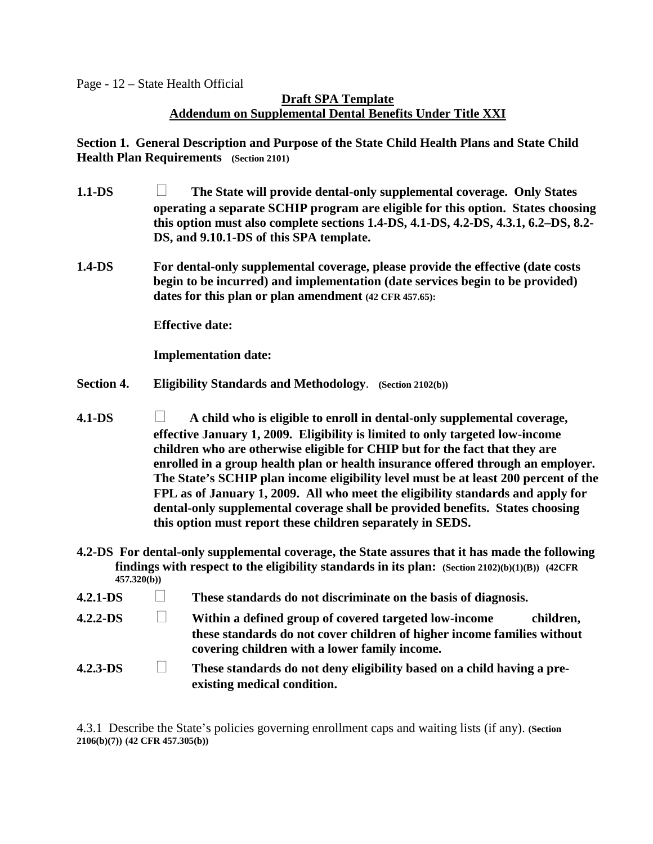Page - 12 – State Health Official

# **Draft SPA Template Addendum on Supplemental Dental Benefits Under Title XXI**

**Section 1. General Description and Purpose of the State Child Health Plans and State Child Health Plan Requirements (Section 2101)**

- **1.1-DS The State will provide dental-only supplemental coverage. Only States operating a separate SCHIP program are eligible for this option. States choosing this option must also complete sections 1.4-DS, 4.1-DS, 4.2-DS, 4.3.1, 6.2–DS, 8.2- DS, and 9.10.1-DS of this SPA template.**
- **1.4-DS For dental-only supplemental coverage, please provide the effective (date costs begin to be incurred) and implementation (date services begin to be provided) dates for this plan or plan amendment (42 CFR 457.65):**

**Effective date:**

**Implementation date:**

- **Section 4. Eligibility Standards and Methodology**. **(Section 2102(b))**
- **4.1-DS A child who is eligible to enroll in dental-only supplemental coverage, effective January 1, 2009. Eligibility is limited to only targeted low-income children who are otherwise eligible for CHIP but for the fact that they are enrolled in a group health plan or health insurance offered through an employer. The State's SCHIP plan income eligibility level must be at least 200 percent of the FPL as of January 1, 2009. All who meet the eligibility standards and apply for dental-only supplemental coverage shall be provided benefits. States choosing this option must report these children separately in SEDS.**
- **4.2-DS For dental-only supplemental coverage, the State assures that it has made the following findings with respect to the eligibility standards in its plan: (Section 2102)(b)(1)(B)) (42CFR 457.320(b))**
- **4.2.1-DS These standards do not discriminate on the basis of diagnosis.**
- **4.2.2-DS Within a defined group of covered targeted low-income children, these standards do not cover children of higher income families without covering children with a lower family income.**
- **4.2.3-DS These standards do not deny eligibility based on a child having a preexisting medical condition.**

4.3.1 Describe the State's policies governing enrollment caps and waiting lists (if any). **(Section 2106(b)(7)) (42 CFR 457.305(b))**